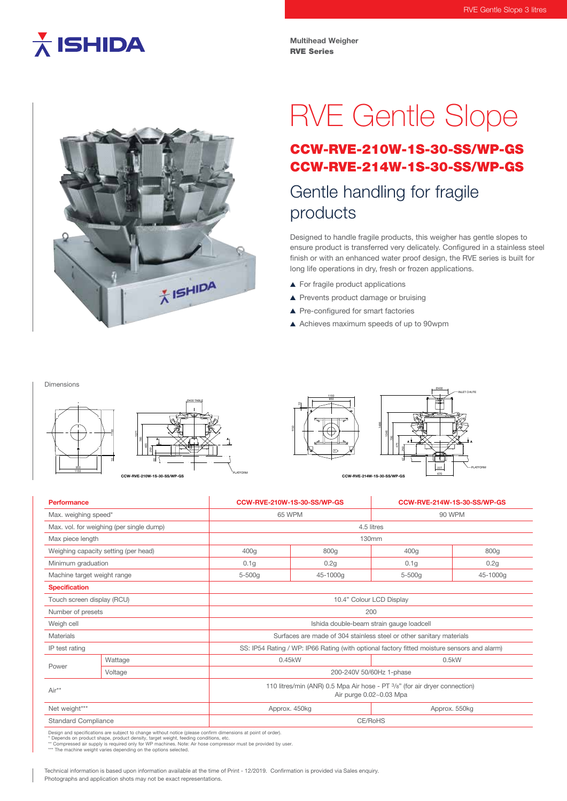## $\overline{\lambda}$  ISHIDA

Dimensions

**Multihead Weigher** RVE Series



# RVE Gentle Slope

### CCW-RVE-210W-1S-30-SS/WP-GS CCW-RVE-214W-1S-30-SS/WP-GS

### Gentle handling for fragile products

Designed to handle fragile products, this weigher has gentle slopes to ensure product is transferred very delicately. Configured in a stainless steel finish or with an enhanced water proof design, the RVE series is built for long life operations in dry, fresh or frozen applications.

- ▲ For fragile product applications
- ▲ Prevents product damage or bruising
- ▲ Pre-configured for smart factories
- A Achieves maximum speeds of up to 90wpm

Ø400 INLET CHUTE PLATFORM 670 227 47 250 475 795 1046 1150 1150 950 1466 A A PLATFORM Ø400 TABLE 60 465 785 <u>15ع</u> 1150 10 950 1150 4 X/FT\X/ A **CCW-RVE-210W-1S-30-SS/WP-GS CCW-RVE-214W-1S-30-SS/WP-GS**

| Performance                              |         | CCW-RVE-210W-1S-30-SS/WP-GS                                                                           |                                | CCW-RVE-214W-1S-30-SS/WP-GS |          |
|------------------------------------------|---------|-------------------------------------------------------------------------------------------------------|--------------------------------|-----------------------------|----------|
| Max. weighing speed*                     |         | <b>65 WPM</b>                                                                                         |                                | 90 WPM                      |          |
| Max. vol. for weighing (per single dump) |         | 4.5 litres                                                                                            |                                |                             |          |
| Max piece length                         |         | 130mm                                                                                                 |                                |                             |          |
| Weighing capacity setting (per head)     |         | 400q                                                                                                  | 800g                           | 400 <sub>g</sub>            | 800g     |
| Minimum graduation                       |         | 0.1 <sub>g</sub>                                                                                      | 0.2g                           | 0.1 <sub>g</sub>            | 0.2g     |
| Machine target weight range              |         | $5 - 500q$                                                                                            | 45-1000g                       | $5 - 500q$                  | 45-1000g |
| <b>Specification</b>                     |         |                                                                                                       |                                |                             |          |
| Touch screen display (RCU)               |         | 10.4" Colour LCD Display                                                                              |                                |                             |          |
| Number of presets                        |         | 200                                                                                                   |                                |                             |          |
| Weigh cell                               |         | Ishida double-beam strain gauge loadcell                                                              |                                |                             |          |
| Materials                                |         | Surfaces are made of 304 stainless steel or other sanitary materials                                  |                                |                             |          |
| IP test rating                           |         | SS: IP54 Rating / WP: IP66 Rating (with optional factory fitted moisture sensors and alarm)           |                                |                             |          |
| Power                                    | Wattage | 0.45kW<br>0.5kW                                                                                       |                                |                             |          |
|                                          | Voltage | 200-240V 50/60Hz 1-phase                                                                              |                                |                             |          |
| Air**                                    |         | 110 litres/min (ANR) 0.5 Mpa Air hose - PT 3/8" (for air dryer connection)<br>Air purge 0.02~0.03 Mpa |                                |                             |          |
| Net weight***                            |         |                                                                                                       | Approx. 550kg<br>Approx. 450kg |                             |          |
| <b>Standard Compliance</b>               |         | CE/RoHS                                                                                               |                                |                             |          |

Design and specifications are subject to change without notice (please confirm dimensions at point of order).<br>\* Depends on product shape, product density, target weight, feeding conditions, etc.<br>\*\* Compressed air supply is